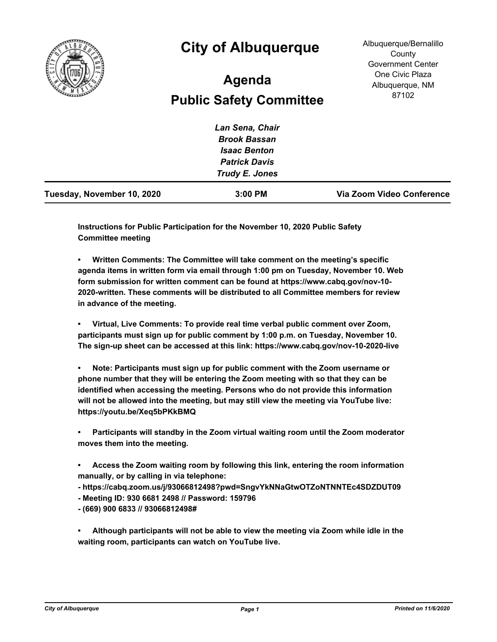

## **City of Albuquerque**

## **Public Safety Committee Agenda**

Albuquerque/Bernalillo **County** Government Center One Civic Plaza Albuquerque, NM 87102

|                            | Lan Sena, Chair      |                           |
|----------------------------|----------------------|---------------------------|
|                            | <b>Brook Bassan</b>  |                           |
|                            | <b>Isaac Benton</b>  |                           |
|                            | <b>Patrick Davis</b> |                           |
|                            | Trudy E. Jones       |                           |
| Tuesday, November 10, 2020 | 3:00 PM              | Via Zoom Video Conference |

**Instructions for Public Participation for the November 10, 2020 Public Safety Committee meeting**

**• Written Comments: The Committee will take comment on the meeting's specific agenda items in written form via email through 1:00 pm on Tuesday, November 10. Web form submission for written comment can be found at https://www.cabq.gov/nov-10- 2020-written. These comments will be distributed to all Committee members for review in advance of the meeting.**

**• Virtual, Live Comments: To provide real time verbal public comment over Zoom, participants must sign up for public comment by 1:00 p.m. on Tuesday, November 10. The sign-up sheet can be accessed at this link: https://www.cabq.gov/nov-10-2020-live**

**• Note: Participants must sign up for public comment with the Zoom username or phone number that they will be entering the Zoom meeting with so that they can be identified when accessing the meeting. Persons who do not provide this information will not be allowed into the meeting, but may still view the meeting via YouTube live: https://youtu.be/Xeq5bPKkBMQ**

**• Participants will standby in the Zoom virtual waiting room until the Zoom moderator moves them into the meeting.**

- **Access the Zoom waiting room by following this link, entering the room information manually, or by calling in via telephone:**
- **https://cabq.zoom.us/j/93066812498?pwd=SngvYkNNaGtwOTZoNTNNTEc4SDZDUT09**
- **Meeting ID: 930 6681 2498 // Password: 159796**

**- (669) 900 6833 // 93066812498#**

**• Although participants will not be able to view the meeting via Zoom while idle in the waiting room, participants can watch on YouTube live.**